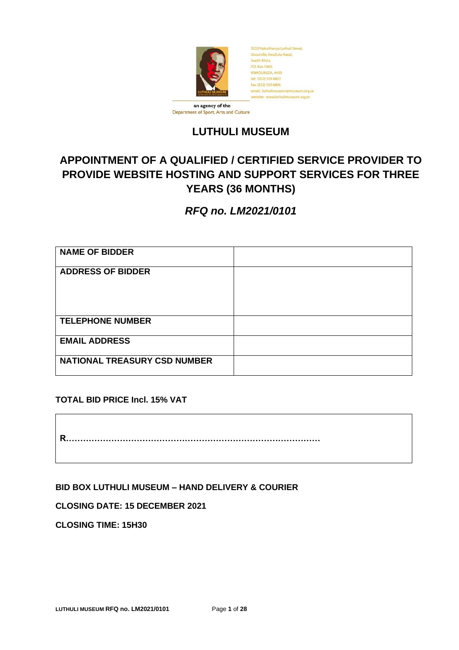

# Department of Sport, Arts and Culture

# **LUTHULI MUSEUM**

# **APPOINTMENT OF A QUALIFIED / CERTIFIED SERVICE PROVIDER TO PROVIDE WEBSITE HOSTING AND SUPPORT SERVICES FOR THREE YEARS (36 MONTHS)**

*RFQ no. LM2021/0101*

| <b>NAME OF BIDDER</b>               |  |
|-------------------------------------|--|
| <b>ADDRESS OF BIDDER</b>            |  |
|                                     |  |
|                                     |  |
| <b>TELEPHONE NUMBER</b>             |  |
| <b>EMAIL ADDRESS</b>                |  |
| <b>NATIONAL TREASURY CSD NUMBER</b> |  |

# **TOTAL BID PRICE Incl. 15% VAT**

**R………………………………………………………………………………**

**BID BOX LUTHULI MUSEUM – HAND DELIVERY & COURIER**

**CLOSING DATE: 15 DECEMBER 2021**

**CLOSING TIME: 15H30**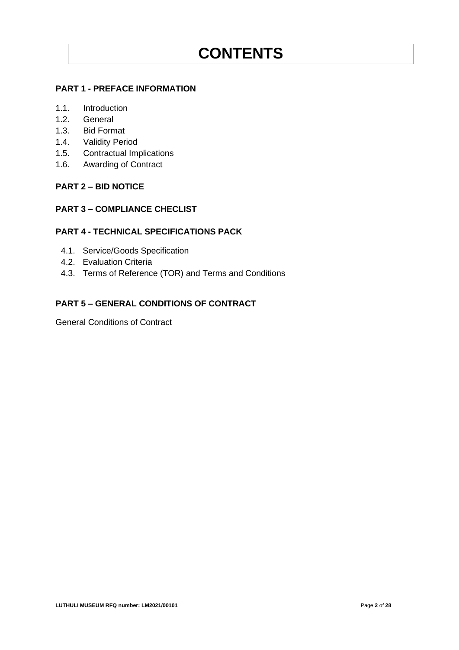# **PART 1 - PREFACE INFORMATION**

- 1.1. Introduction
- 1.2. General
- 1.3. Bid Format
- 1.4. Validity Period
- 1.5. Contractual Implications
- 1.6. Awarding of Contract

#### **PART 2 – BID NOTICE**

# **PART 3 – COMPLIANCE CHECLIST**

#### **PART 4 - TECHNICAL SPECIFICATIONS PACK**

- 4.1. Service/Goods Specification
- 4.2. Evaluation Criteria
- 4.3. Terms of Reference (TOR) and Terms and Conditions

# **PART 5 – GENERAL CONDITIONS OF CONTRACT**

General Conditions of Contract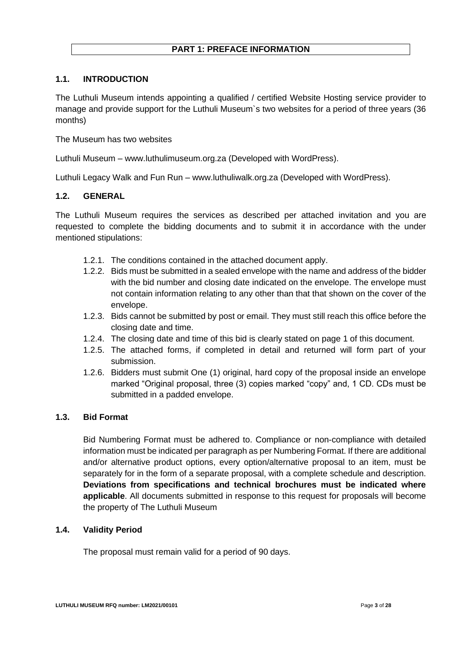# **PART 1: PREFACE INFORMATION**

## **1.1. INTRODUCTION**

The Luthuli Museum intends appointing a qualified / certified Website Hosting service provider to manage and provide support for the Luthuli Museum`s two websites for a period of three years (36 months)

The Museum has two websites

Luthuli Museum – www.luthulimuseum.org.za (Developed with WordPress).

Luthuli Legacy Walk and Fun Run – www.luthuliwalk.org.za (Developed with WordPress).

#### **1.2. GENERAL**

The Luthuli Museum requires the services as described per attached invitation and you are requested to complete the bidding documents and to submit it in accordance with the under mentioned stipulations:

- 1.2.1. The conditions contained in the attached document apply.
- 1.2.2. Bids must be submitted in a sealed envelope with the name and address of the bidder with the bid number and closing date indicated on the envelope. The envelope must not contain information relating to any other than that that shown on the cover of the envelope.
- 1.2.3. Bids cannot be submitted by post or email. They must still reach this office before the closing date and time.
- 1.2.4. The closing date and time of this bid is clearly stated on page 1 of this document.
- 1.2.5. The attached forms, if completed in detail and returned will form part of your submission.
- 1.2.6. Bidders must submit One (1) original, hard copy of the proposal inside an envelope marked "Original proposal, three (3) copies marked "copy" and, 1 CD. CDs must be submitted in a padded envelope.

#### **1.3. Bid Format**

Bid Numbering Format must be adhered to. Compliance or non-compliance with detailed information must be indicated per paragraph as per Numbering Format. If there are additional and/or alternative product options, every option/alternative proposal to an item, must be separately for in the form of a separate proposal, with a complete schedule and description. **Deviations from specifications and technical brochures must be indicated where applicable**. All documents submitted in response to this request for proposals will become the property of The Luthuli Museum

#### **1.4. Validity Period**

The proposal must remain valid for a period of 90 days.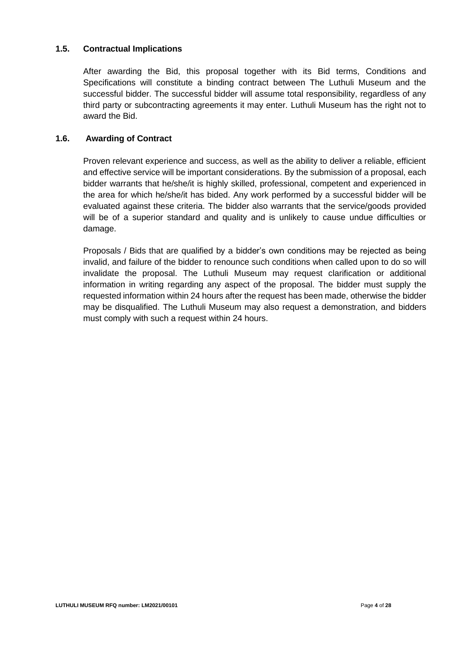## **1.5. Contractual Implications**

After awarding the Bid, this proposal together with its Bid terms, Conditions and Specifications will constitute a binding contract between The Luthuli Museum and the successful bidder. The successful bidder will assume total responsibility, regardless of any third party or subcontracting agreements it may enter. Luthuli Museum has the right not to award the Bid.

#### **1.6. Awarding of Contract**

Proven relevant experience and success, as well as the ability to deliver a reliable, efficient and effective service will be important considerations. By the submission of a proposal, each bidder warrants that he/she/it is highly skilled, professional, competent and experienced in the area for which he/she/it has bided. Any work performed by a successful bidder will be evaluated against these criteria. The bidder also warrants that the service/goods provided will be of a superior standard and quality and is unlikely to cause undue difficulties or damage.

Proposals / Bids that are qualified by a bidder's own conditions may be rejected as being invalid, and failure of the bidder to renounce such conditions when called upon to do so will invalidate the proposal. The Luthuli Museum may request clarification or additional information in writing regarding any aspect of the proposal. The bidder must supply the requested information within 24 hours after the request has been made, otherwise the bidder may be disqualified. The Luthuli Museum may also request a demonstration, and bidders must comply with such a request within 24 hours.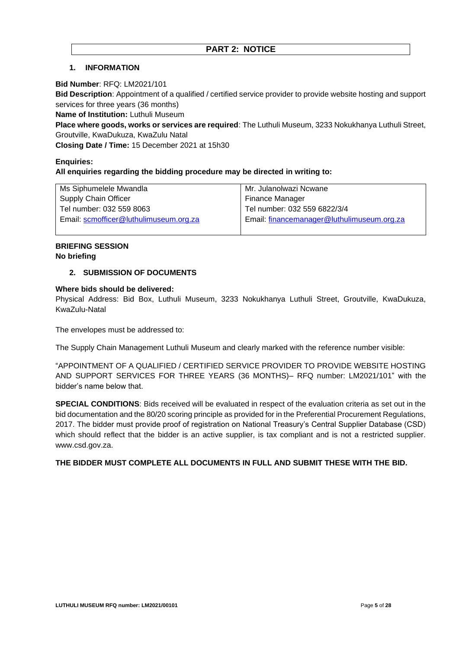#### **1. INFORMATION**

#### **Bid Number**: RFQ: LM2021/101

**Bid Description**: Appointment of a qualified / certified service provider to provide website hosting and support services for three years (36 months)

**Name of Institution:** Luthuli Museum

**Place where goods, works or services are required**: The Luthuli Museum, 3233 Nokukhanya Luthuli Street, Groutville, KwaDukuza, KwaZulu Natal

**Closing Date / Time:** 15 December 2021 at 15h30

# **Enquiries: All enquiries regarding the bidding procedure may be directed in writing to:**

| Ms Siphumelele Mwandla                | Mr. Julanolwazi Ncwane                     |
|---------------------------------------|--------------------------------------------|
| <b>Supply Chain Officer</b>           | Finance Manager                            |
| Tel number: 032 559 8063              | Tel number: 032 559 6822/3/4               |
| Email scmofficer@luthulimuseum.org.za | Email: financemanager@luthulimuseum.org.za |
|                                       |                                            |

#### **BRIEFING SESSION No briefing**

#### **2. SUBMISSION OF DOCUMENTS**

#### **Where bids should be delivered:**

Physical Address: Bid Box, Luthuli Museum, 3233 Nokukhanya Luthuli Street, Groutville, KwaDukuza, KwaZulu-Natal

The envelopes must be addressed to:

The Supply Chain Management Luthuli Museum and clearly marked with the reference number visible:

"APPOINTMENT OF A QUALIFIED / CERTIFIED SERVICE PROVIDER TO PROVIDE WEBSITE HOSTING AND SUPPORT SERVICES FOR THREE YEARS (36 MONTHS)– RFQ number: LM2021/101" with the bidder's name below that.

**SPECIAL CONDITIONS**: Bids received will be evaluated in respect of the evaluation criteria as set out in the bid documentation and the 80/20 scoring principle as provided for in the Preferential Procurement Regulations, 2017. The bidder must provide proof of registration on National Treasury's Central Supplier Database (CSD) which should reflect that the bidder is an active supplier, is tax compliant and is not a restricted supplier. www.csd.gov.za.

#### **THE BIDDER MUST COMPLETE ALL DOCUMENTS IN FULL AND SUBMIT THESE WITH THE BID.**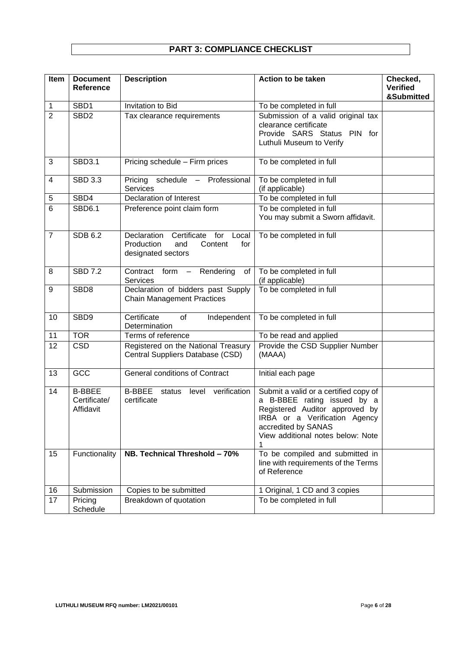# **PART 3: COMPLIANCE CHECKLIST**

| Item           | <b>Document</b><br>Reference               | <b>Description</b>                                                                                      | <b>Action to be taken</b>                                                                                                                                                                           | Checked,<br><b>Verified</b><br>&Submitted |
|----------------|--------------------------------------------|---------------------------------------------------------------------------------------------------------|-----------------------------------------------------------------------------------------------------------------------------------------------------------------------------------------------------|-------------------------------------------|
| 1              | SBD1                                       | Invitation to Bid                                                                                       | To be completed in full                                                                                                                                                                             |                                           |
| $\overline{2}$ | SBD <sub>2</sub>                           | Tax clearance requirements                                                                              | Submission of a valid original tax<br>clearance certificate<br>Provide SARS Status PIN for<br>Luthuli Museum to Verify                                                                              |                                           |
| 3              | SBD3.1                                     | Pricing schedule - Firm prices                                                                          | To be completed in full                                                                                                                                                                             |                                           |
| 4              | <b>SBD 3.3</b>                             | schedule<br>- Professional<br>Pricing<br><b>Services</b>                                                | To be completed in full<br>(if applicable)                                                                                                                                                          |                                           |
| 5              | SBD4                                       | <b>Declaration of Interest</b>                                                                          | To be completed in full                                                                                                                                                                             |                                           |
| 6              | <b>SBD6.1</b>                              | Preference point claim form                                                                             | To be completed in full<br>You may submit a Sworn affidavit.                                                                                                                                        |                                           |
| $\overline{7}$ | <b>SDB 6.2</b>                             | for<br>Declaration<br>Certificate<br>Local<br>Production<br>Content<br>for<br>and<br>designated sectors | To be completed in full                                                                                                                                                                             |                                           |
| 8              | <b>SBD 7.2</b>                             | Contract form<br>Rendering<br>0f<br>$\equiv$<br><b>Services</b>                                         | To be completed in full<br>(if applicable)                                                                                                                                                          |                                           |
| 9              | SBD8                                       | Declaration of bidders past Supply<br><b>Chain Management Practices</b>                                 | To be completed in full                                                                                                                                                                             |                                           |
| 10             | SBD9                                       | Certificate<br>of<br>Independent<br>Determination                                                       | To be completed in full                                                                                                                                                                             |                                           |
| 11             | <b>TOR</b>                                 | Terms of reference                                                                                      | To be read and applied                                                                                                                                                                              |                                           |
| 12             | <b>CSD</b>                                 | Registered on the National Treasury<br>Central Suppliers Database (CSD)                                 | Provide the CSD Supplier Number<br>(MAAA)                                                                                                                                                           |                                           |
| 13             | GCC                                        | <b>General conditions of Contract</b>                                                                   | Initial each page                                                                                                                                                                                   |                                           |
| 14             | <b>B-BBEE</b><br>Certificate/<br>Affidavit | <b>B-BBEE</b><br>level verification<br>status<br>certificate                                            | Submit a valid or a certified copy of<br>a B-BBEE rating issued by a<br>Registered Auditor approved by<br>IRBA or a Verification Agency<br>accredited by SANAS<br>View additional notes below: Note |                                           |
| 15             | Functionality                              | NB. Technical Threshold - 70%                                                                           | To be compiled and submitted in<br>line with requirements of the Terms<br>of Reference                                                                                                              |                                           |
| 16             | Submission                                 | Copies to be submitted                                                                                  | 1 Original, 1 CD and 3 copies                                                                                                                                                                       |                                           |
| 17             | Pricing<br>Schedule                        | Breakdown of quotation                                                                                  | To be completed in full                                                                                                                                                                             |                                           |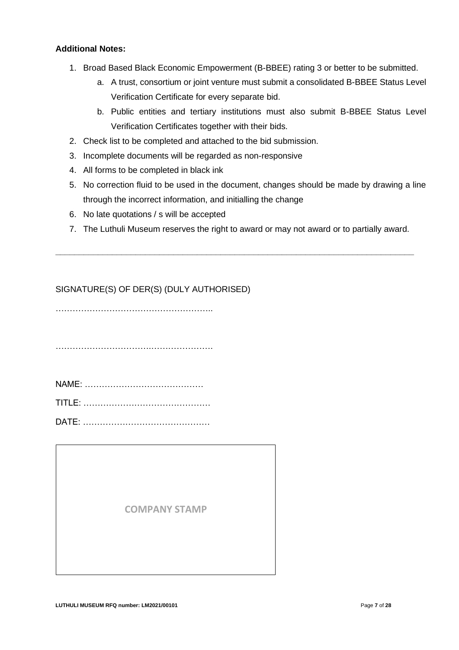#### **Additional Notes:**

- 1. Broad Based Black Economic Empowerment (B-BBEE) rating 3 or better to be submitted.
	- a. A trust, consortium or joint venture must submit a consolidated B-BBEE Status Level Verification Certificate for every separate bid.
	- b. Public entities and tertiary institutions must also submit B-BBEE Status Level Verification Certificates together with their bids.
- 2. Check list to be completed and attached to the bid submission.
- 3. Incomplete documents will be regarded as non-responsive
- 4. All forms to be completed in black ink
- 5. No correction fluid to be used in the document, changes should be made by drawing a line through the incorrect information, and initialling the change
- 6. No late quotations / s will be accepted
- 7. The Luthuli Museum reserves the right to award or may not award or to partially award.

**\_\_\_\_\_\_\_\_\_\_\_\_\_\_\_\_\_\_\_\_\_\_\_\_\_\_\_\_\_\_\_\_\_\_\_\_\_\_\_\_\_\_\_\_\_\_\_\_\_\_\_\_\_\_\_\_\_\_\_\_\_\_\_\_\_\_\_\_\_\_\_\_\_\_\_\_**

# SIGNATURE(S) OF DER(S) (DULY AUTHORISED)

………………………………………………..

…………………………….………………….

| NAME: |  |
|-------|--|
|       |  |

TITLE: ………………………………………

DATE: ………………………………………

**COMPANY STAMP**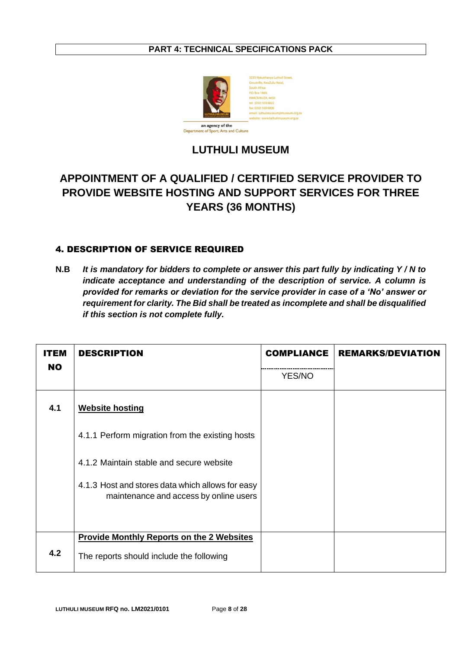# **PART 4: TECHNICAL SPECIFICATIONS PACK**



# **LUTHULI MUSEUM**

# **APPOINTMENT OF A QUALIFIED / CERTIFIED SERVICE PROVIDER TO PROVIDE WEBSITE HOSTING AND SUPPORT SERVICES FOR THREE YEARS (36 MONTHS)**

# 4. DESCRIPTION OF SERVICE REQUIRED

**N.B** *It is mandatory for bidders to complete or answer this part fully by indicating Y / N to indicate acceptance and understanding of the description of service. A column is provided for remarks or deviation for the service provider in case of a 'No' answer or requirement for clarity. The Bid shall be treated as incomplete and shall be disqualified if this section is not complete fully.* 

| ITEM      | <b>DESCRIPTION</b>                                                                         | <b>COMPLIANCE</b> | <b>REMARKS/DEVIATION</b> |
|-----------|--------------------------------------------------------------------------------------------|-------------------|--------------------------|
| <b>NO</b> |                                                                                            | YES/NO            |                          |
| 4.1       | <b>Website hosting</b>                                                                     |                   |                          |
|           | 4.1.1 Perform migration from the existing hosts                                            |                   |                          |
|           | 4.1.2 Maintain stable and secure website                                                   |                   |                          |
|           | 4.1.3 Host and stores data which allows for easy<br>maintenance and access by online users |                   |                          |
|           | <b>Provide Monthly Reports on the 2 Websites</b>                                           |                   |                          |
| 4.2       | The reports should include the following                                                   |                   |                          |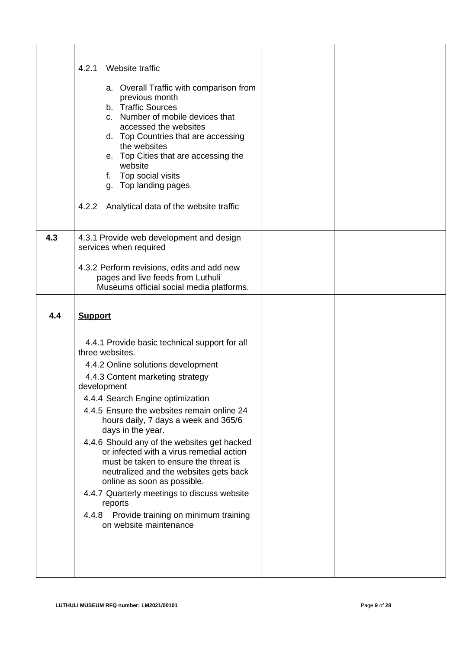|     | Website traffic<br>4.2.1<br>a. Overall Traffic with comparison from<br>previous month<br>b. Traffic Sources<br>c. Number of mobile devices that<br>accessed the websites<br>d. Top Countries that are accessing<br>the websites<br>e. Top Cities that are accessing the<br>website<br>f. Top social visits<br>g. Top landing pages<br>4.2.2<br>Analytical data of the website traffic                                                                                                                                                                                           |  |
|-----|---------------------------------------------------------------------------------------------------------------------------------------------------------------------------------------------------------------------------------------------------------------------------------------------------------------------------------------------------------------------------------------------------------------------------------------------------------------------------------------------------------------------------------------------------------------------------------|--|
| 4.3 | 4.3.1 Provide web development and design<br>services when required<br>4.3.2 Perform revisions, edits and add new                                                                                                                                                                                                                                                                                                                                                                                                                                                                |  |
|     | pages and live feeds from Luthuli<br>Museums official social media platforms.                                                                                                                                                                                                                                                                                                                                                                                                                                                                                                   |  |
| 4.4 | <b>Support</b>                                                                                                                                                                                                                                                                                                                                                                                                                                                                                                                                                                  |  |
|     | 4.4.1 Provide basic technical support for all<br>three websites.<br>4.4.2 Online solutions development<br>4.4.3 Content marketing strategy<br>development<br>4.4.4 Search Engine optimization<br>4.4.5 Ensure the websites remain online 24<br>hours daily, 7 days a week and 365/6<br>days in the year.<br>4.4.6 Should any of the websites get hacked<br>or infected with a virus remedial action<br>must be taken to ensure the threat is<br>neutralized and the websites gets back<br>online as soon as possible.<br>4.4.7 Quarterly meetings to discuss website<br>reports |  |
|     | 4.4.8 Provide training on minimum training<br>on website maintenance                                                                                                                                                                                                                                                                                                                                                                                                                                                                                                            |  |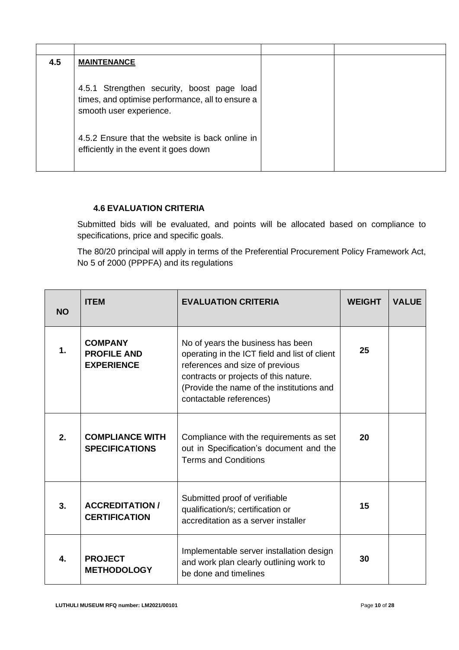| 4.5 | <b>MAINTENANCE</b>                                                                                                                                                                                                    |  |
|-----|-----------------------------------------------------------------------------------------------------------------------------------------------------------------------------------------------------------------------|--|
|     | 4.5.1 Strengthen security, boost page load<br>times, and optimise performance, all to ensure a<br>smooth user experience.<br>4.5.2 Ensure that the website is back online in<br>efficiently in the event it goes down |  |

# **4.6 EVALUATION CRITERIA**

Submitted bids will be evaluated, and points will be allocated based on compliance to specifications, price and specific goals.

The 80/20 principal will apply in terms of the Preferential Procurement Policy Framework Act, No 5 of 2000 (PPPFA) and its regulations

| <b>NO</b>     | <b>ITEM</b>                                               | <b>EVALUATION CRITERIA</b>                                                                                                                                                                                                             | <b>WEIGHT</b> | <b>VALUE</b> |
|---------------|-----------------------------------------------------------|----------------------------------------------------------------------------------------------------------------------------------------------------------------------------------------------------------------------------------------|---------------|--------------|
| $\mathbf 1$ . | <b>COMPANY</b><br><b>PROFILE AND</b><br><b>EXPERIENCE</b> | No of years the business has been<br>operating in the ICT field and list of client<br>references and size of previous<br>contracts or projects of this nature.<br>(Provide the name of the institutions and<br>contactable references) | 25            |              |
| 2.            | <b>COMPLIANCE WITH</b><br><b>SPECIFICATIONS</b>           | Compliance with the requirements as set<br>out in Specification's document and the<br><b>Terms and Conditions</b>                                                                                                                      | 20            |              |
| 3.            | <b>ACCREDITATION /</b><br><b>CERTIFICATION</b>            | Submitted proof of verifiable<br>qualification/s; certification or<br>accreditation as a server installer                                                                                                                              | 15            |              |
| 4.            | <b>PROJECT</b><br><b>METHODOLOGY</b>                      | Implementable server installation design<br>and work plan clearly outlining work to<br>be done and timelines                                                                                                                           | 30            |              |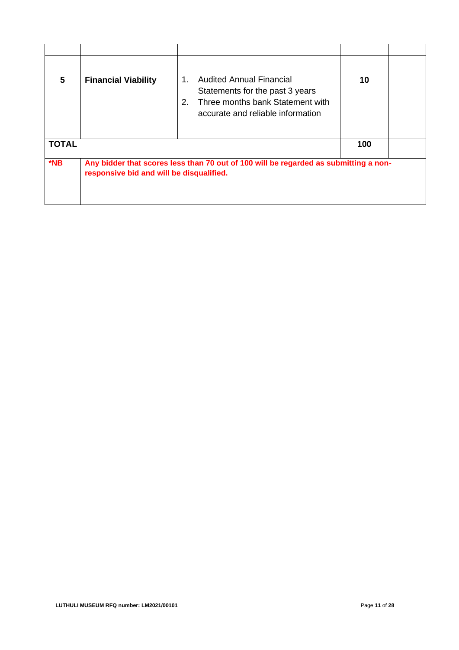| 5            | <b>Financial Viability</b>               | <b>Audited Annual Financial</b><br>1.<br>Statements for the past 3 years<br>Three months bank Statement with<br>2.<br>accurate and reliable information | 10  |  |
|--------------|------------------------------------------|---------------------------------------------------------------------------------------------------------------------------------------------------------|-----|--|
| <b>TOTAL</b> |                                          |                                                                                                                                                         | 100 |  |
| $*$ NB       | responsive bid and will be disqualified. | Any bidder that scores less than 70 out of 100 will be regarded as submitting a non-                                                                    |     |  |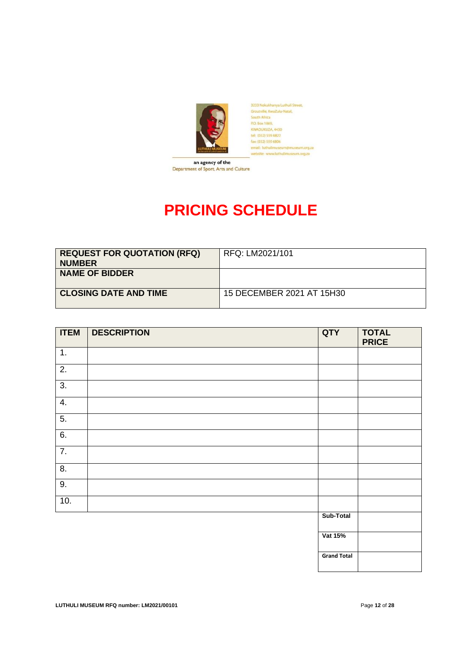

3233 Nokukhanya Luthuli Street,<br>Groutville, KwaZulu-Natal,<br>South Africa<br>P.O. Box 1869, KWADUKUZA, 4450<br>tel: (032) 559 6822 ter: (032) 559 6822<br>fax: (032) 559 6806<br>email: luthulimuseum@museum.org.za bsite: www.luthullmuseum.org.za

Department of Sport, Arts and Culture

# **PRICING SCHEDULE**

| <b>REQUEST FOR QUOTATION (RFQ)</b><br><b>NUMBER</b> | RFQ: LM2021/101           |
|-----------------------------------------------------|---------------------------|
| <b>NAME OF BIDDER</b>                               |                           |
| <b>CLOSING DATE AND TIME</b>                        | 15 DECEMBER 2021 AT 15H30 |

| <b>ITEM</b>      | <b>DESCRIPTION</b> | QTY                | <b>TOTAL</b><br><b>PRICE</b> |
|------------------|--------------------|--------------------|------------------------------|
| 1.               |                    |                    |                              |
| $\overline{2}$ . |                    |                    |                              |
| $\overline{3}$ . |                    |                    |                              |
| $\overline{4}$ . |                    |                    |                              |
| 5.               |                    |                    |                              |
| 6.               |                    |                    |                              |
| $\overline{7}$ . |                    |                    |                              |
| $\overline{8}$ . |                    |                    |                              |
| 9.               |                    |                    |                              |
| 10.              |                    |                    |                              |
|                  |                    | Sub-Total          |                              |
|                  |                    | Vat 15%            |                              |
|                  |                    | <b>Grand Total</b> |                              |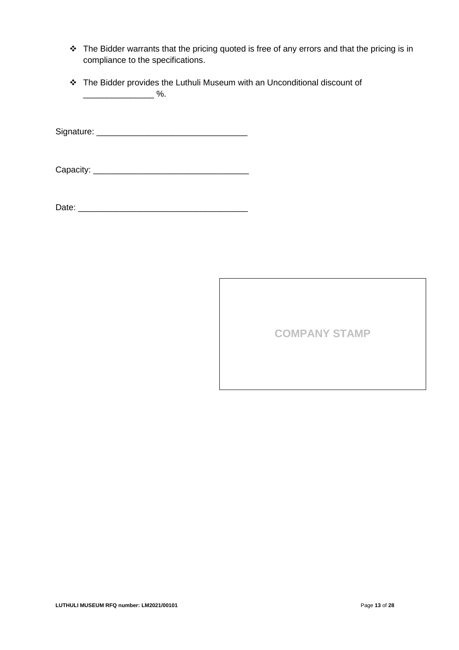- ❖ The Bidder warrants that the pricing quoted is free of any errors and that the pricing is in compliance to the specifications.
- ❖ The Bidder provides the Luthuli Museum with an Unconditional discount of \_\_\_\_\_\_\_\_\_\_\_\_\_\_\_ %.

Signature: \_\_\_\_\_\_\_\_\_\_\_\_\_\_\_\_\_\_\_\_\_\_\_\_\_\_\_\_\_\_\_\_

Capacity: \_\_\_\_\_\_\_\_\_\_\_\_\_\_\_\_\_\_\_\_\_\_\_\_\_\_\_\_\_\_\_\_\_

Date: \_\_\_\_\_\_\_\_\_\_\_\_\_\_\_\_\_\_\_\_\_\_\_\_\_\_\_\_\_\_\_\_\_\_\_\_

**COMPANY STAMP**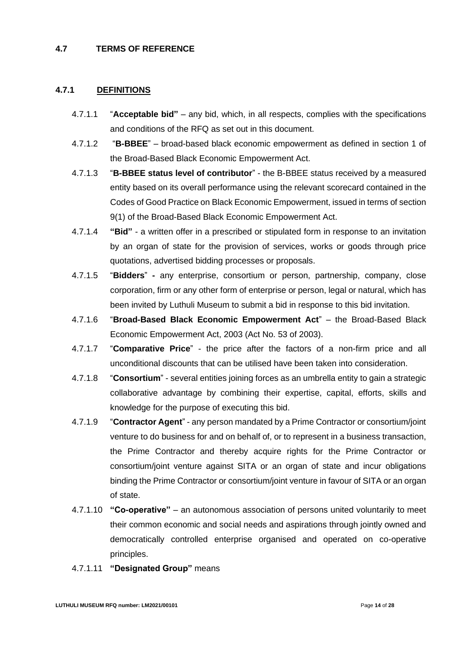#### **4.7 TERMS OF REFERENCE**

#### **4.7.1 DEFINITIONS**

- 4.7.1.1 "**Acceptable bid"** any bid, which, in all respects, complies with the specifications and conditions of the RFQ as set out in this document.
- 4.7.1.2 "**B-BBEE**" broad-based black economic empowerment as defined in section 1 of the Broad-Based Black Economic Empowerment Act.
- 4.7.1.3 "**B-BBEE status level of contributor**" the B-BBEE status received by a measured entity based on its overall performance using the relevant scorecard contained in the Codes of Good Practice on Black Economic Empowerment, issued in terms of section 9(1) of the Broad-Based Black Economic Empowerment Act.
- 4.7.1.4 **"Bid"** a written offer in a prescribed or stipulated form in response to an invitation by an organ of state for the provision of services, works or goods through price quotations, advertised bidding processes or proposals.
- 4.7.1.5 "**Bidders**" **-** any enterprise, consortium or person, partnership, company, close corporation, firm or any other form of enterprise or person, legal or natural, which has been invited by Luthuli Museum to submit a bid in response to this bid invitation.
- 4.7.1.6 "**Broad-Based Black Economic Empowerment Act**" the Broad-Based Black Economic Empowerment Act, 2003 (Act No. 53 of 2003).
- 4.7.1.7 "**Comparative Price**" the price after the factors of a non-firm price and all unconditional discounts that can be utilised have been taken into consideration.
- 4.7.1.8 "**Consortium**" several entities joining forces as an umbrella entity to gain a strategic collaborative advantage by combining their expertise, capital, efforts, skills and knowledge for the purpose of executing this bid.
- 4.7.1.9 "**Contractor Agent**" any person mandated by a Prime Contractor or consortium/joint venture to do business for and on behalf of, or to represent in a business transaction, the Prime Contractor and thereby acquire rights for the Prime Contractor or consortium/joint venture against SITA or an organ of state and incur obligations binding the Prime Contractor or consortium/joint venture in favour of SITA or an organ of state.
- 4.7.1.10 **"Co-operative"** an autonomous association of persons united voluntarily to meet their common economic and social needs and aspirations through jointly owned and democratically controlled enterprise organised and operated on co-operative principles.
- 4.7.1.11 **"Designated Group"** means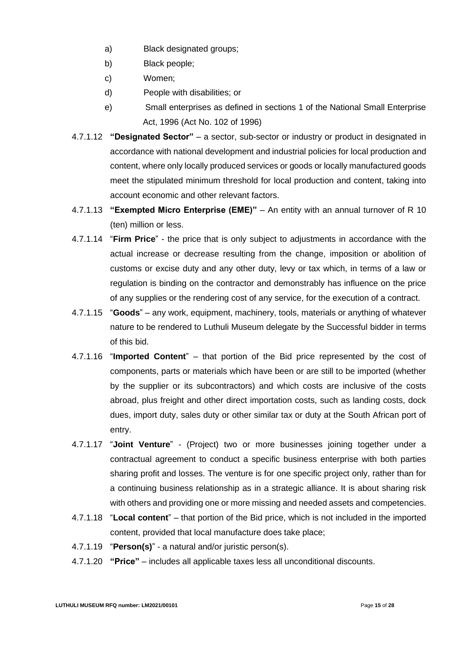- a) Black designated groups;
- b) Black people;
- c) Women;
- d) People with disabilities; or
- e) Small enterprises as defined in sections 1 of the National Small Enterprise Act, 1996 (Act No. 102 of 1996)
- 4.7.1.12 **"Designated Sector"** a sector, sub-sector or industry or product in designated in accordance with national development and industrial policies for local production and content, where only locally produced services or goods or locally manufactured goods meet the stipulated minimum threshold for local production and content, taking into account economic and other relevant factors.
- 4.7.1.13 **"Exempted Micro Enterprise (EME)"** An entity with an annual turnover of R 10 (ten) million or less.
- 4.7.1.14 "**Firm Price**" the price that is only subject to adjustments in accordance with the actual increase or decrease resulting from the change, imposition or abolition of customs or excise duty and any other duty, levy or tax which, in terms of a law or regulation is binding on the contractor and demonstrably has influence on the price of any supplies or the rendering cost of any service, for the execution of a contract.
- 4.7.1.15 "**Goods**" any work, equipment, machinery, tools, materials or anything of whatever nature to be rendered to Luthuli Museum delegate by the Successful bidder in terms of this bid.
- 4.7.1.16 "**Imported Content**" that portion of the Bid price represented by the cost of components, parts or materials which have been or are still to be imported (whether by the supplier or its subcontractors) and which costs are inclusive of the costs abroad, plus freight and other direct importation costs, such as landing costs, dock dues, import duty, sales duty or other similar tax or duty at the South African port of entry.
- 4.7.1.17 "**Joint Venture**" (Project) two or more businesses joining together under a contractual agreement to conduct a specific business enterprise with both parties sharing profit and losses. The venture is for one specific project only, rather than for a continuing business relationship as in a strategic alliance. It is about sharing risk with others and providing one or more missing and needed assets and competencies.
- 4.7.1.18 "**Local content**" that portion of the Bid price, which is not included in the imported content, provided that local manufacture does take place;
- 4.7.1.19 "**Person(s)**" a natural and/or juristic person(s).
- 4.7.1.20 **"Price"** includes all applicable taxes less all unconditional discounts.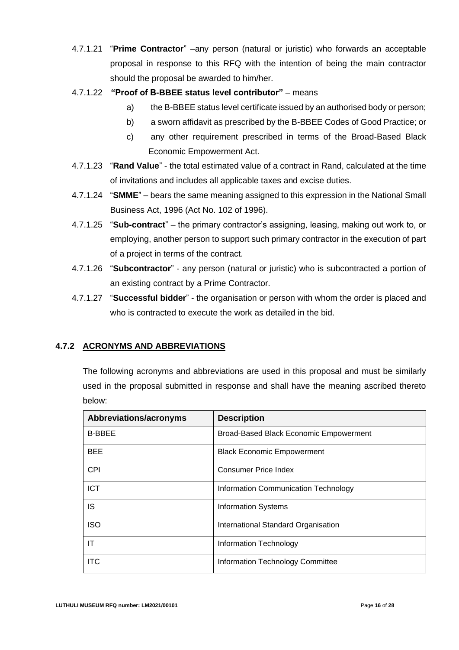- 4.7.1.21 "**Prime Contractor**" –any person (natural or juristic) who forwards an acceptable proposal in response to this RFQ with the intention of being the main contractor should the proposal be awarded to him/her.
- 4.7.1.22 **"Proof of B-BBEE status level contributor"** means
	- a) the B-BBEE status level certificate issued by an authorised body or person;
	- b) a sworn affidavit as prescribed by the B-BBEE Codes of Good Practice; or
	- c) any other requirement prescribed in terms of the Broad-Based Black Economic Empowerment Act.
- 4.7.1.23 "**Rand Value**" the total estimated value of a contract in Rand, calculated at the time of invitations and includes all applicable taxes and excise duties.
- 4.7.1.24 "**SMME**" bears the same meaning assigned to this expression in the National Small Business Act, 1996 (Act No. 102 of 1996).
- 4.7.1.25 "**Sub-contract**" the primary contractor's assigning, leasing, making out work to, or employing, another person to support such primary contractor in the execution of part of a project in terms of the contract.
- 4.7.1.26 "**Subcontractor**" any person (natural or juristic) who is subcontracted a portion of an existing contract by a Prime Contractor.
- 4.7.1.27 "**Successful bidder**" the organisation or person with whom the order is placed and who is contracted to execute the work as detailed in the bid.

# **4.7.2 ACRONYMS AND ABBREVIATIONS**

The following acronyms and abbreviations are used in this proposal and must be similarly used in the proposal submitted in response and shall have the meaning ascribed thereto below:

| Abbreviations/acronyms | <b>Description</b>                            |
|------------------------|-----------------------------------------------|
| <b>B-BBEE</b>          | <b>Broad-Based Black Economic Empowerment</b> |
| <b>BEE</b>             | <b>Black Economic Empowerment</b>             |
| <b>CPI</b>             | <b>Consumer Price Index</b>                   |
| <b>ICT</b>             | Information Communication Technology          |
| IS                     | <b>Information Systems</b>                    |
| <b>ISO</b>             | International Standard Organisation           |
| ΙT                     | Information Technology                        |
| <b>ITC</b>             | Information Technology Committee              |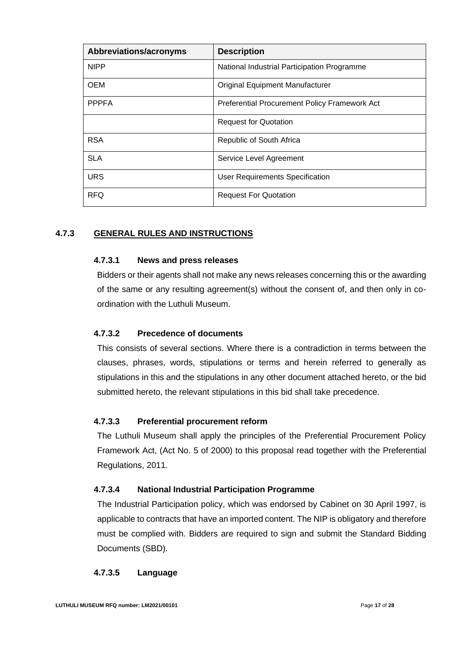| Abbreviations/acronyms | <b>Description</b>                            |
|------------------------|-----------------------------------------------|
| <b>NIPP</b>            | National Industrial Participation Programme   |
| <b>OEM</b>             | <b>Original Equipment Manufacturer</b>        |
| <b>PPPFA</b>           | Preferential Procurement Policy Framework Act |
|                        | <b>Request for Quotation</b>                  |
| <b>RSA</b>             | Republic of South Africa                      |
| <b>SLA</b>             | Service Level Agreement                       |
| <b>URS</b>             | <b>User Requirements Specification</b>        |
| <b>RFQ</b>             | <b>Request For Quotation</b>                  |

# **4.7.3 GENERAL RULES AND INSTRUCTIONS**

#### **4.7.3.1 News and press releases**

Bidders or their agents shall not make any news releases concerning this or the awarding of the same or any resulting agreement(s) without the consent of, and then only in coordination with the Luthuli Museum.

## **4.7.3.2 Precedence of documents**

This consists of several sections. Where there is a contradiction in terms between the clauses, phrases, words, stipulations or terms and herein referred to generally as stipulations in this and the stipulations in any other document attached hereto, or the bid submitted hereto, the relevant stipulations in this bid shall take precedence.

#### **4.7.3.3 Preferential procurement reform**

The Luthuli Museum shall apply the principles of the Preferential Procurement Policy Framework Act, (Act No. 5 of 2000) to this proposal read together with the Preferential Regulations, 2011.

#### **4.7.3.4 National Industrial Participation Programme**

The Industrial Participation policy, which was endorsed by Cabinet on 30 April 1997, is applicable to contracts that have an imported content. The NIP is obligatory and therefore must be complied with. Bidders are required to sign and submit the Standard Bidding Documents (SBD).

## **4.7.3.5 Language**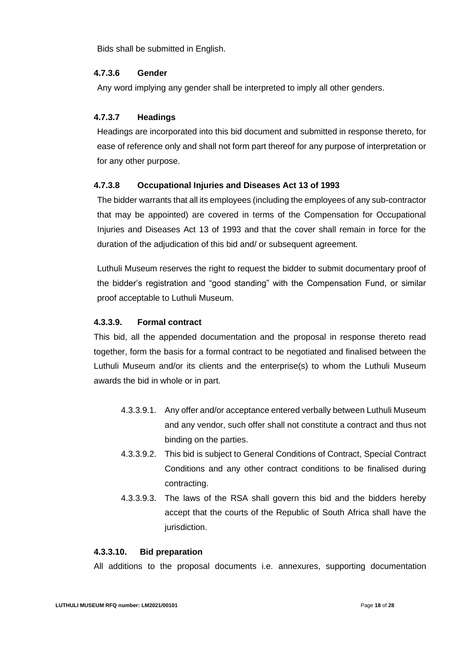Bids shall be submitted in English.

## **4.7.3.6 Gender**

Any word implying any gender shall be interpreted to imply all other genders.

## **4.7.3.7 Headings**

Headings are incorporated into this bid document and submitted in response thereto, for ease of reference only and shall not form part thereof for any purpose of interpretation or for any other purpose.

## **4.7.3.8 Occupational Injuries and Diseases Act 13 of 1993**

The bidder warrants that all its employees (including the employees of any sub-contractor that may be appointed) are covered in terms of the Compensation for Occupational Injuries and Diseases Act 13 of 1993 and that the cover shall remain in force for the duration of the adjudication of this bid and/ or subsequent agreement.

Luthuli Museum reserves the right to request the bidder to submit documentary proof of the bidder's registration and "good standing" with the Compensation Fund, or similar proof acceptable to Luthuli Museum.

## **4.3.3.9. Formal contract**

This bid, all the appended documentation and the proposal in response thereto read together, form the basis for a formal contract to be negotiated and finalised between the Luthuli Museum and/or its clients and the enterprise(s) to whom the Luthuli Museum awards the bid in whole or in part.

- 4.3.3.9.1. Any offer and/or acceptance entered verbally between Luthuli Museum and any vendor, such offer shall not constitute a contract and thus not binding on the parties.
- 4.3.3.9.2. This bid is subject to General Conditions of Contract, Special Contract Conditions and any other contract conditions to be finalised during contracting.
- 4.3.3.9.3. The laws of the RSA shall govern this bid and the bidders hereby accept that the courts of the Republic of South Africa shall have the jurisdiction.

#### **4.3.3.10. Bid preparation**

All additions to the proposal documents i.e. annexures, supporting documentation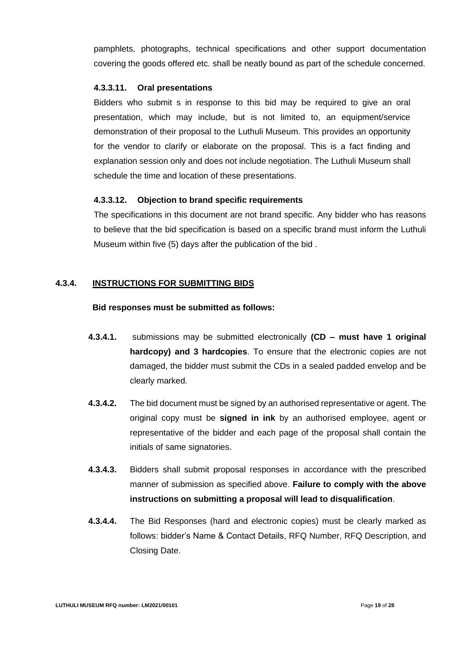pamphlets, photographs, technical specifications and other support documentation covering the goods offered etc. shall be neatly bound as part of the schedule concerned.

#### **4.3.3.11. Oral presentations**

Bidders who submit s in response to this bid may be required to give an oral presentation, which may include, but is not limited to, an equipment/service demonstration of their proposal to the Luthuli Museum. This provides an opportunity for the vendor to clarify or elaborate on the proposal. This is a fact finding and explanation session only and does not include negotiation. The Luthuli Museum shall schedule the time and location of these presentations.

# **4.3.3.12. Objection to brand specific requirements**

The specifications in this document are not brand specific. Any bidder who has reasons to believe that the bid specification is based on a specific brand must inform the Luthuli Museum within five (5) days after the publication of the bid .

# **4.3.4. INSTRUCTIONS FOR SUBMITTING BIDS**

## **Bid responses must be submitted as follows:**

- **4.3.4.1.** submissions may be submitted electronically **(CD – must have 1 original hardcopy) and 3 hardcopies**. To ensure that the electronic copies are not damaged, the bidder must submit the CDs in a sealed padded envelop and be clearly marked.
- **4.3.4.2.** The bid document must be signed by an authorised representative or agent. The original copy must be **signed in ink** by an authorised employee, agent or representative of the bidder and each page of the proposal shall contain the initials of same signatories.
- **4.3.4.3.** Bidders shall submit proposal responses in accordance with the prescribed manner of submission as specified above. **Failure to comply with the above instructions on submitting a proposal will lead to disqualification**.
- **4.3.4.4.** The Bid Responses (hard and electronic copies) must be clearly marked as follows: bidder's Name & Contact Details, RFQ Number, RFQ Description, and Closing Date.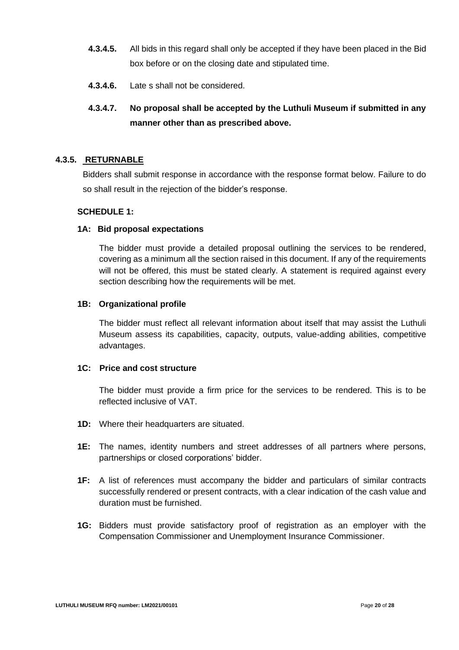- **4.3.4.5.** All bids in this regard shall only be accepted if they have been placed in the Bid box before or on the closing date and stipulated time.
- **4.3.4.6.** Late s shall not be considered.

# **4.3.4.7. No proposal shall be accepted by the Luthuli Museum if submitted in any manner other than as prescribed above.**

# **4.3.5. RETURNABLE**

Bidders shall submit response in accordance with the response format below. Failure to do so shall result in the rejection of the bidder's response.

# **SCHEDULE 1:**

#### **1A: Bid proposal expectations**

The bidder must provide a detailed proposal outlining the services to be rendered, covering as a minimum all the section raised in this document. If any of the requirements will not be offered, this must be stated clearly. A statement is required against every section describing how the requirements will be met.

#### **1B: Organizational profile**

The bidder must reflect all relevant information about itself that may assist the Luthuli Museum assess its capabilities, capacity, outputs, value-adding abilities, competitive advantages.

# **1C: Price and cost structure**

The bidder must provide a firm price for the services to be rendered. This is to be reflected inclusive of VAT.

- **1D:** Where their headquarters are situated.
- **1E:** The names, identity numbers and street addresses of all partners where persons, partnerships or closed corporations' bidder.
- **1F:** A list of references must accompany the bidder and particulars of similar contracts successfully rendered or present contracts, with a clear indication of the cash value and duration must be furnished.
- **1G:** Bidders must provide satisfactory proof of registration as an employer with the Compensation Commissioner and Unemployment Insurance Commissioner.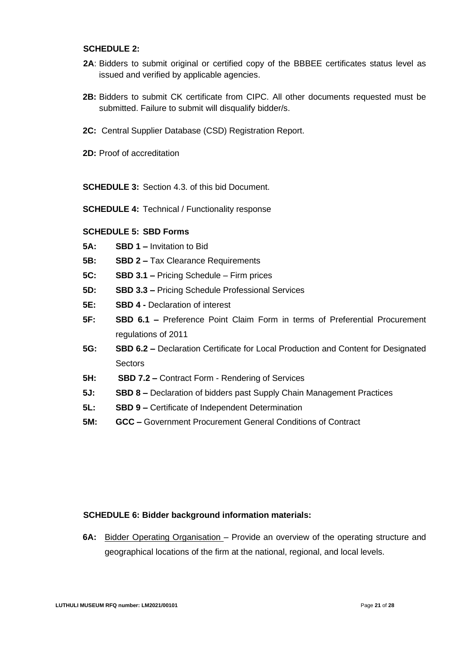#### **SCHEDULE 2:**

- 2A: Bidders to submit original or certified copy of the BBBEE certificates status level as issued and verified by applicable agencies.
- **2B:** Bidders to submit CK certificate from CIPC. All other documents requested must be submitted. Failure to submit will disqualify bidder/s.
- **2C:** Central Supplier Database (CSD) Registration Report.
- **2D:** Proof of accreditation

**SCHEDULE 3:** Section 4.3. of this bid Document.

**SCHEDULE 4:** Technical / Functionality response

#### **SCHEDULE 5: SBD Forms**

- **5A: SBD 1 –** Invitation to Bid
- **5B: SBD 2 –** Tax Clearance Requirements
- **5C: SBD 3.1 –** Pricing Schedule Firm prices
- **5D: SBD 3.3 –** Pricing Schedule Professional Services
- **5E: SBD 4 -** Declaration of interest
- **5F: SBD 6.1 –** Preference Point Claim Form in terms of Preferential Procurement regulations of 2011
- **5G: SBD 6.2 –** Declaration Certificate for Local Production and Content for Designated **Sectors**
- **5H: SBD 7.2 –** Contract Form Rendering of Services
- **5J: SBD 8 –** Declaration of bidders past Supply Chain Management Practices
- **5L: SBD 9 –** Certificate of Independent Determination
- **5M: GCC –** Government Procurement General Conditions of Contract

#### **SCHEDULE 6: Bidder background information materials:**

**6A:** Bidder Operating Organisation – Provide an overview of the operating structure and geographical locations of the firm at the national, regional, and local levels.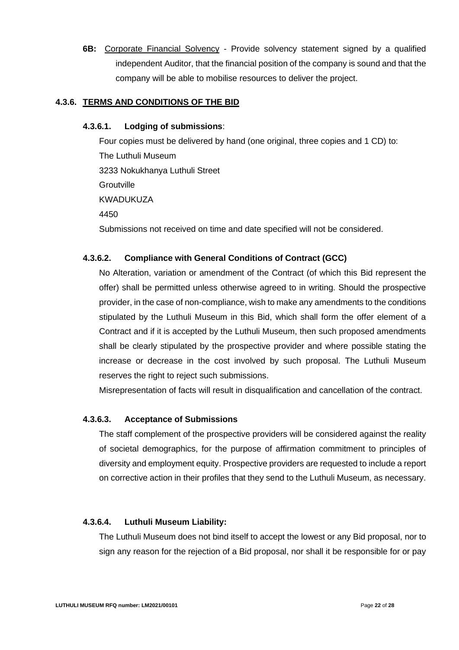**6B:** Corporate Financial Solvency - Provide solvency statement signed by a qualified independent Auditor, that the financial position of the company is sound and that the company will be able to mobilise resources to deliver the project.

# **4.3.6. TERMS AND CONDITIONS OF THE BID**

## **4.3.6.1. Lodging of submissions**:

Four copies must be delivered by hand (one original, three copies and 1 CD) to: The Luthuli Museum 3233 Nokukhanya Luthuli Street **Groutville** KWADUKUZA 4450 Submissions not received on time and date specified will not be considered.

# **4.3.6.2. Compliance with General Conditions of Contract (GCC)**

No Alteration, variation or amendment of the Contract (of which this Bid represent the offer) shall be permitted unless otherwise agreed to in writing. Should the prospective provider, in the case of non-compliance, wish to make any amendments to the conditions stipulated by the Luthuli Museum in this Bid, which shall form the offer element of a Contract and if it is accepted by the Luthuli Museum, then such proposed amendments shall be clearly stipulated by the prospective provider and where possible stating the increase or decrease in the cost involved by such proposal. The Luthuli Museum reserves the right to reject such submissions.

Misrepresentation of facts will result in disqualification and cancellation of the contract.

## **4.3.6.3. Acceptance of Submissions**

The staff complement of the prospective providers will be considered against the reality of societal demographics, for the purpose of affirmation commitment to principles of diversity and employment equity. Prospective providers are requested to include a report on corrective action in their profiles that they send to the Luthuli Museum, as necessary.

## **4.3.6.4. Luthuli Museum Liability:**

The Luthuli Museum does not bind itself to accept the lowest or any Bid proposal, nor to sign any reason for the rejection of a Bid proposal, nor shall it be responsible for or pay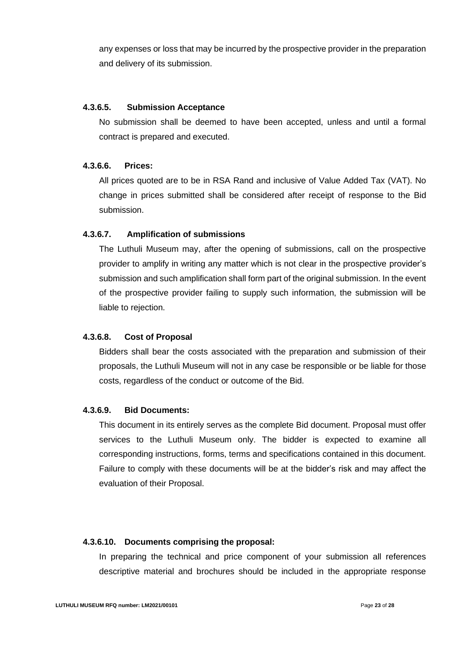any expenses or loss that may be incurred by the prospective provider in the preparation and delivery of its submission.

# **4.3.6.5. Submission Acceptance**

No submission shall be deemed to have been accepted, unless and until a formal contract is prepared and executed.

#### **4.3.6.6. Prices:**

All prices quoted are to be in RSA Rand and inclusive of Value Added Tax (VAT). No change in prices submitted shall be considered after receipt of response to the Bid submission.

#### **4.3.6.7. Amplification of submissions**

The Luthuli Museum may, after the opening of submissions, call on the prospective provider to amplify in writing any matter which is not clear in the prospective provider's submission and such amplification shall form part of the original submission. In the event of the prospective provider failing to supply such information, the submission will be liable to rejection.

#### **4.3.6.8. Cost of Proposal**

Bidders shall bear the costs associated with the preparation and submission of their proposals, the Luthuli Museum will not in any case be responsible or be liable for those costs, regardless of the conduct or outcome of the Bid.

#### **4.3.6.9. Bid Documents:**

This document in its entirely serves as the complete Bid document. Proposal must offer services to the Luthuli Museum only. The bidder is expected to examine all corresponding instructions, forms, terms and specifications contained in this document. Failure to comply with these documents will be at the bidder's risk and may affect the evaluation of their Proposal.

#### **4.3.6.10. Documents comprising the proposal:**

In preparing the technical and price component of your submission all references descriptive material and brochures should be included in the appropriate response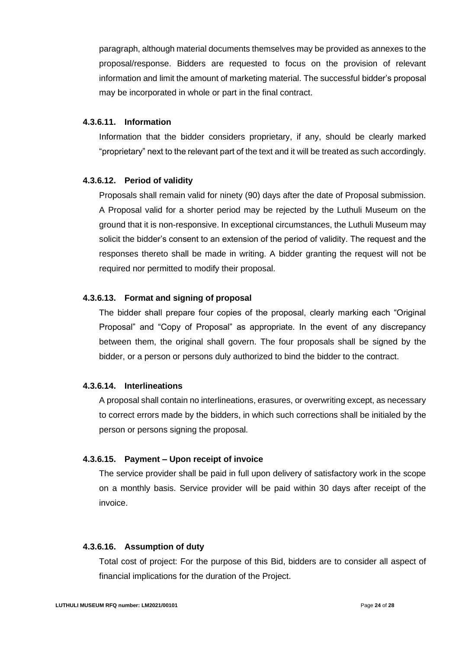paragraph, although material documents themselves may be provided as annexes to the proposal/response. Bidders are requested to focus on the provision of relevant information and limit the amount of marketing material. The successful bidder's proposal may be incorporated in whole or part in the final contract.

#### **4.3.6.11. Information**

Information that the bidder considers proprietary, if any, should be clearly marked "proprietary" next to the relevant part of the text and it will be treated as such accordingly.

## **4.3.6.12. Period of validity**

Proposals shall remain valid for ninety (90) days after the date of Proposal submission. A Proposal valid for a shorter period may be rejected by the Luthuli Museum on the ground that it is non-responsive. In exceptional circumstances, the Luthuli Museum may solicit the bidder's consent to an extension of the period of validity. The request and the responses thereto shall be made in writing. A bidder granting the request will not be required nor permitted to modify their proposal.

# **4.3.6.13. Format and signing of proposal**

The bidder shall prepare four copies of the proposal, clearly marking each "Original Proposal" and "Copy of Proposal" as appropriate. In the event of any discrepancy between them, the original shall govern. The four proposals shall be signed by the bidder, or a person or persons duly authorized to bind the bidder to the contract.

# **4.3.6.14. Interlineations**

A proposal shall contain no interlineations, erasures, or overwriting except, as necessary to correct errors made by the bidders, in which such corrections shall be initialed by the person or persons signing the proposal.

## **4.3.6.15. Payment – Upon receipt of invoice**

The service provider shall be paid in full upon delivery of satisfactory work in the scope on a monthly basis. Service provider will be paid within 30 days after receipt of the invoice.

## **4.3.6.16. Assumption of duty**

Total cost of project: For the purpose of this Bid, bidders are to consider all aspect of financial implications for the duration of the Project.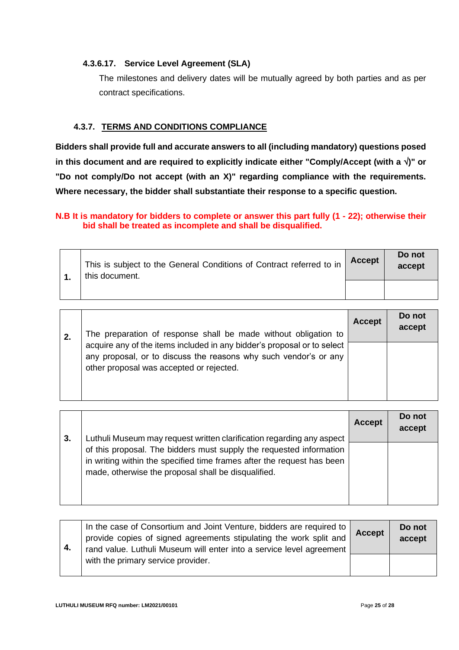# **4.3.6.17. Service Level Agreement (SLA)**

The milestones and delivery dates will be mutually agreed by both parties and as per contract specifications.

# **4.3.7. TERMS AND CONDITIONS COMPLIANCE**

**Bidders shall provide full and accurate answers to all (including mandatory) questions posed in this document and are required to explicitly indicate either "Comply/Accept (with a )" or "Do not comply/Do not accept (with an X)" regarding compliance with the requirements. Where necessary, the bidder shall substantiate their response to a specific question.**

# **N.B It is mandatory for bidders to complete or answer this part fully (1 - 22); otherwise their bid shall be treated as incomplete and shall be disqualified.**

| This is subject to the General Conditions of Contract referred to in<br>this document. | <b>Accept</b> | Do not<br>accept |
|----------------------------------------------------------------------------------------|---------------|------------------|
|                                                                                        |               |                  |

| -2. | The preparation of response shall be made without obligation to                                                                                                                         | <b>Accept</b> | Do not<br>accept |
|-----|-----------------------------------------------------------------------------------------------------------------------------------------------------------------------------------------|---------------|------------------|
|     | acquire any of the items included in any bidder's proposal or to select<br>any proposal, or to discuss the reasons why such vendor's or any<br>other proposal was accepted or rejected. |               |                  |

|    |                                                                                                                                               | <b>Accept</b> | Do not<br>accept |
|----|-----------------------------------------------------------------------------------------------------------------------------------------------|---------------|------------------|
| 3. | Luthuli Museum may request written clarification regarding any aspect                                                                         |               |                  |
|    | of this proposal. The bidders must supply the requested information<br>in writing within the specified time frames after the request has been |               |                  |
|    | made, otherwise the proposal shall be disqualified.                                                                                           |               |                  |
|    |                                                                                                                                               |               |                  |
|    |                                                                                                                                               |               |                  |

| -4. | In the case of Consortium and Joint Venture, bidders are required to  <br>provide copies of signed agreements stipulating the work split and<br>rand value. Luthuli Museum will enter into a service level agreement | <b>Accept</b> | Do not<br>accept |
|-----|----------------------------------------------------------------------------------------------------------------------------------------------------------------------------------------------------------------------|---------------|------------------|
|     | with the primary service provider.                                                                                                                                                                                   |               |                  |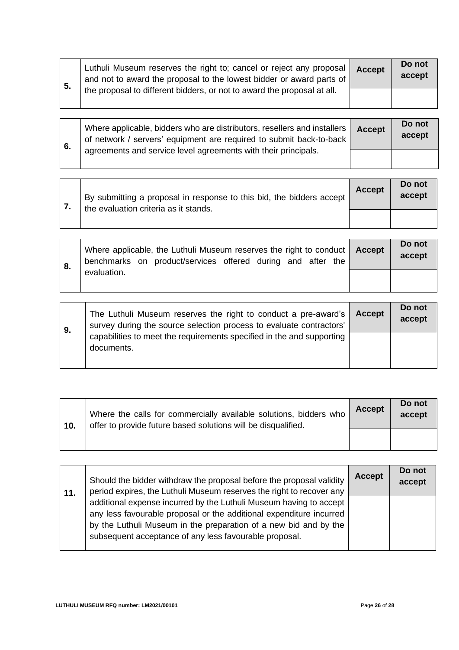| $-5.$ | Luthuli Museum reserves the right to; cancel or reject any proposal<br>and not to award the proposal to the lowest bidder or award parts of | <b>Accept</b> | Do not<br>accept |
|-------|---------------------------------------------------------------------------------------------------------------------------------------------|---------------|------------------|
|       | the proposal to different bidders, or not to award the proposal at all.                                                                     |               |                  |

| 6. | Where applicable, bidders who are distributors, resellers and installers  <br>of network / servers' equipment are required to submit back-to-back | <b>Accept</b> | Do not<br>accept |
|----|---------------------------------------------------------------------------------------------------------------------------------------------------|---------------|------------------|
|    | agreements and service level agreements with their principals.                                                                                    |               |                  |

| 7. | By submitting a proposal in response to this bid, the bidders accept<br>the evaluation criteria as it stands. | <b>Accept</b> | Do not<br>accept |
|----|---------------------------------------------------------------------------------------------------------------|---------------|------------------|
|    |                                                                                                               |               |                  |

|  |             | Where applicable, the Luthuli Museum reserves the right to conduct   Accept<br>benchmarks on product/services offered during and after the |  |  |  | Do not<br>accept |
|--|-------------|--------------------------------------------------------------------------------------------------------------------------------------------|--|--|--|------------------|
|  | evaluation. |                                                                                                                                            |  |  |  |                  |

the control of the control of the control of the control of the control of the control of the control of the control of the control of the control of the control of the control of the control of the control of the control

| 9. | The Luthuli Museum reserves the right to conduct a pre-award's<br>survey during the source selection process to evaluate contractors' | <b>Accept</b> | Do not<br>accept |
|----|---------------------------------------------------------------------------------------------------------------------------------------|---------------|------------------|
|    | capabilities to meet the requirements specified in the and supporting<br>documents.                                                   |               |                  |

| 10. | Where the calls for commercially available solutions, bidders who<br>offer to provide future based solutions will be disqualified. | <b>Accept</b> | Do not<br>accept |
|-----|------------------------------------------------------------------------------------------------------------------------------------|---------------|------------------|
|     |                                                                                                                                    |               |                  |

| 11. | Should the bidder withdraw the proposal before the proposal validity<br>period expires, the Luthuli Museum reserves the right to recover any                                                                                                                              | <b>Accept</b> | Do not<br>accept |
|-----|---------------------------------------------------------------------------------------------------------------------------------------------------------------------------------------------------------------------------------------------------------------------------|---------------|------------------|
|     | additional expense incurred by the Luthuli Museum having to accept  <br>any less favourable proposal or the additional expenditure incurred<br>by the Luthuli Museum in the preparation of a new bid and by the<br>subsequent acceptance of any less favourable proposal. |               |                  |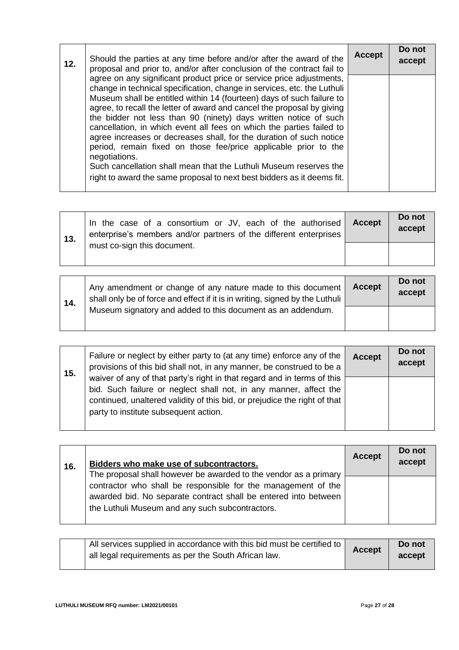| 12. | Should the parties at any time before and/or after the award of the<br>proposal and prior to, and/or after conclusion of the contract fail to                                                                                                                                                                                                                                                                                                                                                                                                                                                                                                                                                                                                            | <b>Accept</b> | Do not<br>accept |
|-----|----------------------------------------------------------------------------------------------------------------------------------------------------------------------------------------------------------------------------------------------------------------------------------------------------------------------------------------------------------------------------------------------------------------------------------------------------------------------------------------------------------------------------------------------------------------------------------------------------------------------------------------------------------------------------------------------------------------------------------------------------------|---------------|------------------|
|     | agree on any significant product price or service price adjustments,<br>change in technical specification, change in services, etc. the Luthuli<br>Museum shall be entitled within 14 (fourteen) days of such failure to<br>agree, to recall the letter of award and cancel the proposal by giving<br>the bidder not less than 90 (ninety) days written notice of such<br>cancellation, in which event all fees on which the parties failed to<br>agree increases or decreases shall, for the duration of such notice<br>period, remain fixed on those fee/price applicable prior to the<br>negotiations.<br>Such cancellation shall mean that the Luthuli Museum reserves the<br>right to award the same proposal to next best bidders as it deems fit. |               |                  |

| 13. | In the case of a consortium or JV, each of the authorised<br>enterprise's members and/or partners of the different enterprises | Accept | Do not<br>accept |
|-----|--------------------------------------------------------------------------------------------------------------------------------|--------|------------------|
|     | must co-sign this document.                                                                                                    |        |                  |

| 14. | Any amendment or change of any nature made to this document<br>shall only be of force and effect if it is in writing, signed by the Luthuli | <b>Accept</b> | Do not<br>accept |
|-----|---------------------------------------------------------------------------------------------------------------------------------------------|---------------|------------------|
|     | Museum signatory and added to this document as an addendum.                                                                                 |               |                  |

| 15. | Failure or neglect by either party to (at any time) enforce any of the<br>provisions of this bid shall not, in any manner, be construed to be a                                                                                                                    | <b>Accept</b> | Do not<br>accept |
|-----|--------------------------------------------------------------------------------------------------------------------------------------------------------------------------------------------------------------------------------------------------------------------|---------------|------------------|
|     | waiver of any of that party's right in that regard and in terms of this<br>bid. Such failure or neglect shall not, in any manner, affect the<br>continued, unaltered validity of this bid, or prejudice the right of that<br>party to institute subsequent action. |               |                  |
|     |                                                                                                                                                                                                                                                                    |               |                  |

| 16. | Bidders who make use of subcontractors.                                                                                                                                                                                                                 | <b>Accept</b> | Do not<br>accept |
|-----|---------------------------------------------------------------------------------------------------------------------------------------------------------------------------------------------------------------------------------------------------------|---------------|------------------|
|     | The proposal shall however be awarded to the vendor as a primary<br>contractor who shall be responsible for the management of the<br>awarded bid. No separate contract shall be entered into between<br>the Luthuli Museum and any such subcontractors. |               |                  |

| All services supplied in accordance with this bid must be certified to $ $<br>all legal requirements as per the South African law. | <b>Accept</b> | Do not<br>accept |
|------------------------------------------------------------------------------------------------------------------------------------|---------------|------------------|
|                                                                                                                                    |               |                  |